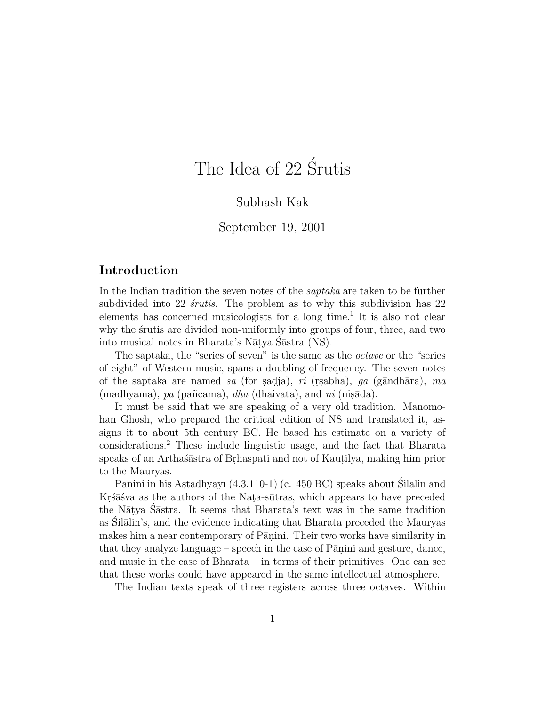# The Idea of 22 Srutis

## Subhash Kak

#### September 19, 2001

# **Introduction**

In the Indian tradition the seven notes of the saptaka are taken to be further subdivided into 22  $srutis$ . The problem as to why this subdivision has 22 elements has concerned musicologists for a long time.<sup>1</sup> It is also not clear why the śrutis are divided non-uniformly into groups of four, three, and two into musical notes in Bharata's Nātya Sāstra (NS).

The saptaka, the "series of seven" is the same as the octave or the "series of eight" of Western music, spans a doubling of frequency. The seven notes of the saptaka are named sa (for sadja), ri (r.s.abha), ga (g $\bar{a}$ ndh $\bar{a}$ ra), ma  $(madhyama)$ , pa (pañcama), dha (dhaivata), and ni (nis $\bar{a}da$ ).

It must be said that we are speaking of a very old tradition. Manomohan Ghosh, who prepared the critical edition of NS and translated it, assigns it to about 5th century BC. He based his estimate on a variety of considerations.<sup>2</sup> These include linguistic usage, and the fact that Bharata speaks of an Arthas<sup>s</sup> as as as a speaks of Br.haspati and not of Kautilya, making him prior to the Mauryas.

Pānini in his Astādhyāyī  $(4.3.110-1)$  (c. 450 BC) speaks about Śilālin and Krsãsva as the authors of the Nata-sūtras, which appears to have preceded the Nātya Śāstra. It seems that Bharata's text was in the same tradition as Silā lin's, and the evidence indicating that Bharata preceded the Mauryas makes him a near contemporary of Pānini. Their two works have similarity in that they analyze language – speech in the case of P $\overline{a}$  nini and gesture, dance, and music in the case of Bharata – in terms of their primitives. One can see that these works could have appeared in the same intellectual atmosphere.

The Indian texts speak of three registers across three octaves. Within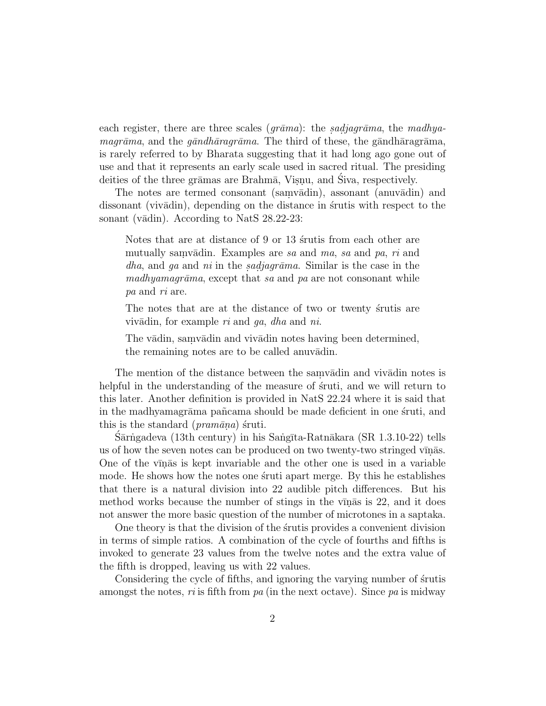each register, there are three scales  $(qr\bar{a}ma)$ : the sadjagr $\bar{a}ma$ , the madhya $magrāma$ , and the  $gāndhāragrāma$ . The third of these, the gāndhāragrāma, is rarely referred to by Bharata suggesting that it had long ago gone out of use and that it represents an early scale used in sacred ritual. The presiding deities of the three gramas are Brahma, Visnu, and Siva, respectively.

The notes are termed consonant (samvadin), assonant (anuvadin) and dissonant (vivadin), depending on the distance in strutis with respect to the sonant (v $\bar{a}$ din). According to NatS 28.22-23:

Notes that are at distance of 9 or 13 strutis from each other are mutually samvadin. Examples are sa and ma, sa and pa, ri and *dha*, and ga and ni in the sadjagrama. Similar is the case in the  $m$ adhyamagrāma, except that sa and pa are not consonant while pa and ri are.

The notes that are at the distance of two or twenty strutis are vivādin, for example ri and ga, dha and ni.

The vādin, samvādin and vivādin notes having been determined, the remaining notes are to be called anuvadin.

The mention of the distance between the samvadin and vivadin notes is helpful in the understanding of the measure of  $\delta$  fruti, and we will return to this later. Another definition is provided in NatS 22.24 where it is said that in the madhyamagrāma pañcama should be made deficient in one struti, and this is the standard ( $pramāna$ ) struti.

Sārngadeva (13th century) in his Sangīta-Ratnākara (SR 1.3.10-22) tells us of how the seven notes can be produced on two twenty-two stringed v $\overline{\text{m}}$ . One of the v<del>inas</del> is kept invariable and the other one is used in a variable mode. He shows how the notes one struti apart merge. By this he establishes that there is a natural division into 22 audible pitch differences. But his method works because the number of stings in the  $\nu$  mas is 22, and it does not answer the more basic question of the number of microtones in a saptaka.

One theory is that the division of the strutis provides a convenient division in terms of simple ratios. A combination of the cycle of fourths and fifths is invoked to generate 23 values from the twelve notes and the extra value of the fifth is dropped, leaving us with 22 values.

Considering the cycle of fifths, and ignoring the varying number of strutis amongst the notes, ri is fifth from pa (in the next octave). Since pa is midway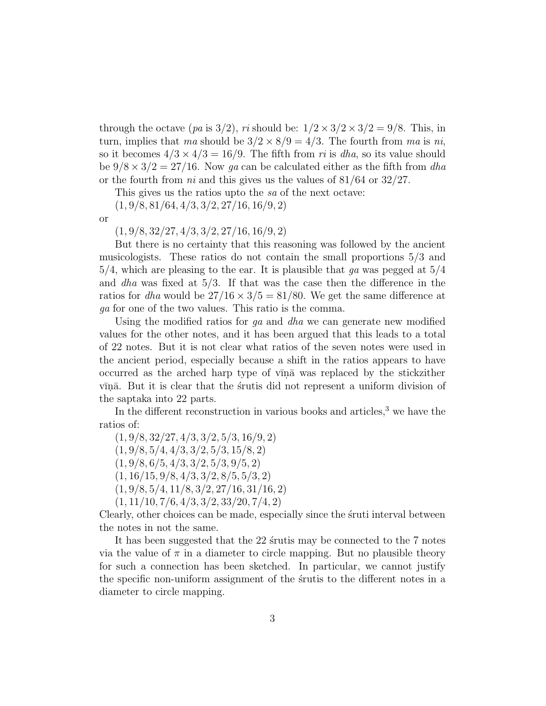through the octave (pa is 3/2), ri should be:  $1/2 \times 3/2 \times 3/2 = 9/8$ . This, in turn, implies that ma should be  $3/2 \times 8/9 = 4/3$ . The fourth from ma is ni, so it becomes  $4/3 \times 4/3 = 16/9$ . The fifth from ri is dha, so its value should be  $9/8 \times 3/2 = 27/16$ . Now ga can be calculated either as the fifth from dha or the fourth from ni and this gives us the values of 81/64 or 32/27.

This gives us the ratios upto the sa of the next octave:

 $(1, 9/8, 81/64, 4/3, 3/2, 27/16, 16/9, 2)$ 

or

 $(1, 9/8, 32/27, 4/3, 3/2, 27/16, 16/9, 2)$ 

But there is no certainty that this reasoning was followed by the ancient musicologists. These ratios do not contain the small proportions 5/3 and  $5/4$ , which are pleasing to the ear. It is plausible that ga was pegged at  $5/4$ and dha was fixed at 5/3. If that was the case then the difference in the ratios for *dha* would be  $27/16 \times 3/5 = 81/80$ . We get the same difference at ga for one of the two values. This ratio is the comma.

Using the modified ratios for ga and dha we can generate new modified values for the other notes, and it has been argued that this leads to a total of 22 notes. But it is not clear what ratios of the seven notes were used in the ancient period, especially because a shift in the ratios appears to have occurred as the arched harp type of vina was replaced by the stickzither vīnā. But it is clear that the strutis did not represent a uniform division of the saptaka into 22 parts.

In the different reconstruction in various books and articles, $3$  we have the ratios of:

 $(1, 9/8, 32/27, 4/3, 3/2, 5/3, 16/9, 2)$ 

 $(1, 9/8, 5/4, 4/3, 3/2, 5/3, 15/8, 2)$ 

 $(1, 9/8, 6/5, 4/3, 3/2, 5/3, 9/5, 2)$ 

 $(1, 16/15, 9/8, 4/3, 3/2, 8/5, 5/3, 2)$ 

 $(1, 9/8, 5/4, 11/8, 3/2, 27/16, 31/16, 2)$ 

 $(1, 11/10, 7/6, 4/3, 3/2, 33/20, 7/4, 2)$ 

Clearly, other choices can be made, especially since the struti interval between the notes in not the same.

It has been suggested that the 22 strutis may be connected to the 7 notes via the value of  $\pi$  in a diameter to circle mapping. But no plausible theory for such a connection has been sketched. In particular, we cannot justify the specific non-uniform assignment of the strutis to the different notes in a diameter to circle mapping.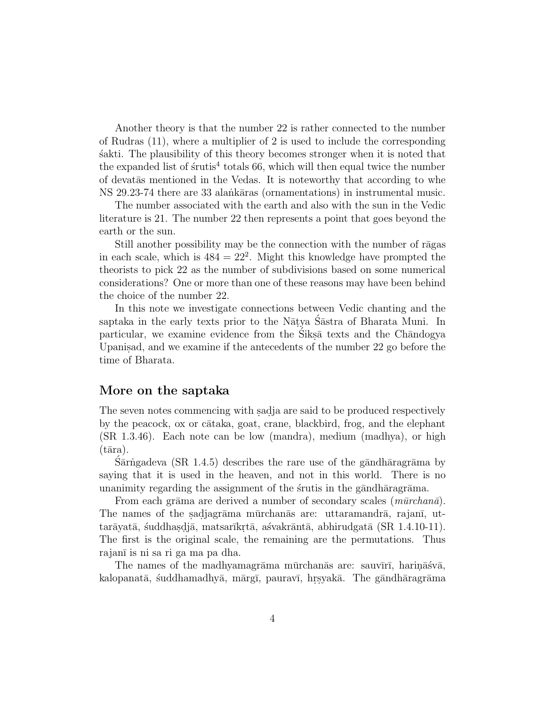Another theory is that the number 22 is rather connected to the number of Rudras (11), where a multiplier of 2 is used to include the corresponding  $\ddot{\text{s}}$ akti. The plausibility of this theory becomes stronger when it is noted that the expanded list of  $\text{srutis}^4$  totals 66, which will then equal twice the number of devatas mentioned in the Vedas. It is noteworthy that according to where NS 29.23-74 there are 33 alankāras (ornamentations) in instrumental music.

The number associated with the earth and also with the sun in the Vedic literature is 21. The number 22 then represents a point that goes beyond the earth or the sun.

Still another possibility may be the connection with the number of ragas in each scale, which is  $484 = 22^2$ . Might this knowledge have prompted the theorists to pick 22 as the number of subdivisions based on some numerical considerations? One or more than one of these reasons may have been behind the choice of the number 22.

In this note we investigate connections between Vedic chanting and the saptaka in the early texts prior to the Natya Sastra of Bharata Muni. In particular, we examine evidence from the Siksa texts and the Chandogya Upanisad, and we examine if the antecedents of the number 22 go before the time of Bharata.

#### **More on the saptaka**

The seven notes commencing with sadja are said to be produced respectively by the peacock, ox or cātaka, goat, crane, blackbird, frog, and the elephant (SR 1.3.46). Each note can be low (mandra), medium (madhya), or high  $(t\bar{a}ra).$ 

Sārngadeva (SR 1.4.5) describes the rare use of the gāndhāragrāma by saying that it is used in the heaven, and not in this world. There is no unanimity regarding the assignment of the strutis in the gandharagrama.

From each grāma are derived a number of secondary scales  $(m\bar{u}rchan\bar{a})$ . The names of the sadjagrāma mūrchanās are: uttaramandrā, rajanī, uttarāyatā, suddhas.d.jā, matsarīkrtā, asvakrāntā, abhirudgatā (SR 1.4.10-11). The first is the original scale, the remaining are the permutations. Thus rajan<del>ī</del> is ni sa ri ga ma pa dha.

The names of the madhyamagrāma mūrchanās are: sauvīrī, harināśvā, kalopanatā, suddhamadhyā, mārgī, pauravī, hrsyakā. The gāndhāragrāma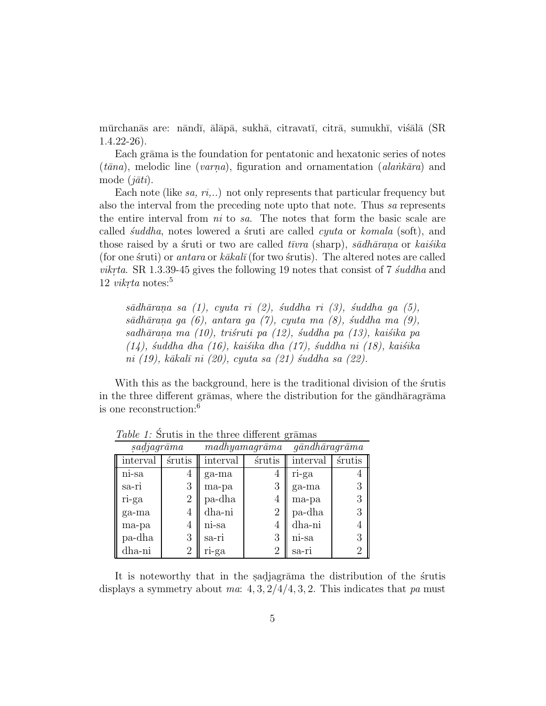mūrchanās are: nāndī, ālāpā, sukhā, citravatī, citrā, sumukhī, visālā (SR 1.4.22-26).

Each grama is the foundation for pentatonic and hexatonic series of notes  $(t\bar{a}na)$ , melodic line (varna), figuration and ornamentation (alank $\bar{a}ra$ ) and mode  $(j\bar{a}ti)$ .

Each note (like sa,  $ri$ ...) not only represents that particular frequency but also the interval from the preceding note upto that note. Thus sa represents the entire interval from *ni* to *sa*. The notes that form the basic scale are called  $\delta u d dha$ , notes lowered a struti are called *cyuta* or  $\delta w$  (soft), and those raised by a struti or two are called  $t\bar{v}v\tau a$  (sharp),  $s\bar{a}dh\bar{a}rana$  or  $kai\acute{s}ika$ (for one struti) or *antara* or  $k\bar{a}k\bar{a}l\bar{a}$  (for two strutis). The altered notes are called *vikrta.* SR 1.3.39-45 gives the following 19 notes that consist of 7  $\delta u d dha$  and  $12 \textit{vikrta}$  notes:<sup>5</sup>

 $s\bar{a}dh\bar{a}rana$  sa (1), cyuta ri (2), suddha ri (3), suddha ga (5),  $s\bar{a}dh\bar{a}r$ ana ga  $(6)$ , antara ga  $(7)$ , cyuta ma  $(8)$ , suddha ma  $(9)$ ,  $sadhārana ma (10), triśruti pa (12), súddha pa (13), kaiśika pa$  $(14)$ , suddha dha (16), kaisika dha (17), suddha ni (18), kaisika ni (19), kākalī ni (20), cyuta sa (21) suddha sa (22).

With this as the background, here is the traditional division of the strutis in the three different grāmas, where the distribution for the gāndhāragrāma is one reconstruction:<sup>6</sup>

| sadjagrāma |        | madhya magrāma |                | $g\bar{a}ndh\bar{a}ragr\bar{a}ma$ |                |
|------------|--------|----------------|----------------|-----------------------------------|----------------|
| interval   | śrutis | interval       | śrutis         | interval                          | <i>srutis</i>  |
| ni-sa      | 4      | ga-ma          | 4              | ri-ga                             | 4              |
| sa-ri      | 3      | ma-pa          | 3              | ga-ma                             | 3              |
| ri-ga      | 2      | pa-dha         | $\overline{4}$ | ma-pa                             | 3              |
| ga-ma      | 4      | dha-ni         | $\overline{2}$ | pa-dha                            | 3              |
| ma-pa      | 4      | ni-sa          | 4              | dha-ni                            | 4              |
| pa-dha     | 3      | sa-ri          | 3              | ni-sa                             | 3              |
| dha-ni     | 2      | ri-ga          | 2              | sa-ri                             | $\overline{2}$ |

Table 1: Srutis in the three different gramas

It is noteworthy that in the sadjagrama the distribution of the strutis displays a symmetry about ma:  $4, 3, 2/4/4, 3, 2$ . This indicates that pa must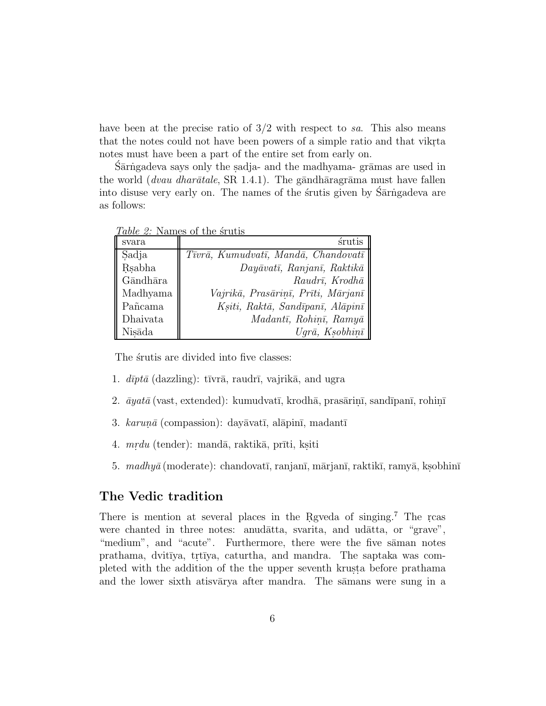have been at the precise ratio of  $3/2$  with respect to sa. This also means that the notes could not have been powers of a simple ratio and that vikrta notes must have been a part of the entire set from early on.

 $S\overline{a}$ rngadeva says only the sadja- and the madhyama- gr $\overline{a}$ mas are used in the world (*dvau dharātale*, SR 1.4.1). The gāndhāragrāma must have fallen into disuse very early on. The names of the strutis given by Sarnigadeva are as follows:

Table  $2$ : Names of the strutis

| svara    | śrutis                                                      |
|----------|-------------------------------------------------------------|
| Sadja    | $T\overline{v}v\overline{a}$ , Kumudvatī, Mandā, Chandovatī |
| Rsabha   | Dayāvatī, Ranjanī, Raktikā                                  |
| Gāndhāra | Raudrī, Krodhā                                              |
| Madhyama | Vajrikā, Prasārinī, Prīti, Mārjanī                          |
| Pañcama  | Ksiti, Raktā, Sandīpanī, Alāpinī                            |
| Dhaivata | Madantī, Rohinī, Ramyā                                      |
| Nisāda   | $Uq\bar{a}$ , Ksobhinī                                      |

The strutis are divided into five classes:

- 1.  $d\bar{p}t\bar{a}$  (dazzling): tīvrā, raudrī, vajrikā, and ugra
- 2.  $āyatā$  (vast, extended): kumudvatī, krodhā, prasārinī, sandīpanī, rohinī
- 3. karunā (compassion): dayāvatī, alāpinī, madantī
- 4.  $mrdu$  (tender): mandā, raktikā, prīti, ksiti
- 5. madhyā (moderate): chandovatī, ranjanī, mārjanī, raktikī, ramyā, ksobhinī

### **The Vedic tradition**

There is mention at several places in the Rgveda of singing.<sup>7</sup> The r.cas were chanted in three notes: anudātta, svarita, and udātta, or "grave", "medium", and "acute". Furthermore, there were the five saman notes prathama, dvitīya, triīya, caturtha, and mandra. The saptaka was completed with the addition of the the upper seventh krusta before prathama and the lower sixth atisvarya after mandra. The samans were sung in a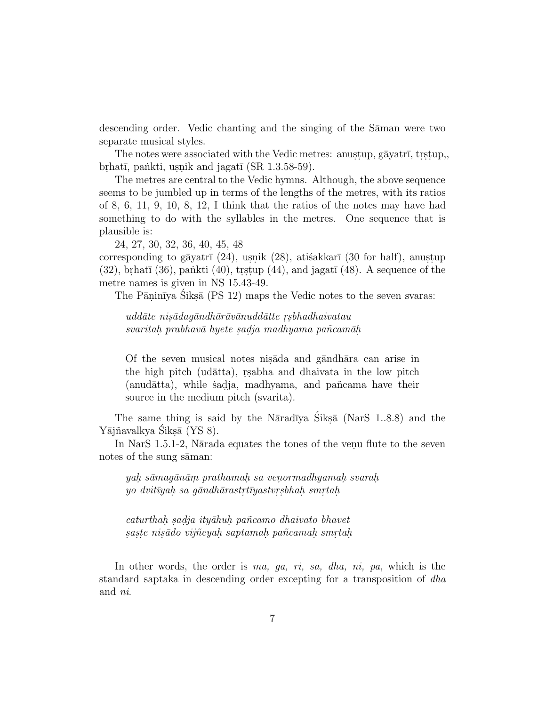descending order. Vedic chanting and the singing of the Saman were two separate musical styles.

The notes were associated with the Vedic metres: anustup, gayatri, trstup,, brhatī, pankti, usnik and jagatī (SR 1.3.58-59).

The metres are central to the Vedic hymns. Although, the above sequence seems to be jumbled up in terms of the lengths of the metres, with its ratios of 8, 6, 11, 9, 10, 8, 12, I think that the ratios of the notes may have had something to do with the syllables in the metres. One sequence that is plausible is:

24, 27, 30, 32, 36, 40, 45, 48

corresponding to gayatrī  $(24)$ , usnik  $(28)$ , atisakkarī  $(30 \text{ for half})$ , anustup.  $(32)$ , brhatī  $(36)$ , pankti  $(40)$ , trstup  $(44)$ , and jagatī  $(48)$ . A sequence of the metre names is given in NS 15.43-49.

The Pāṇinīya Śikṣā (PS 12) maps the Vedic notes to the seven svaras:

 $udd\bar{a}te\ nis\bar{a}dag\bar{a}ndh\bar{a}r\bar{a}v\bar{a}nudd\bar{a}tte\ rsbhadhaivatau$ svaritah prabhavā hyete sadja madhyama pañcamāh

Of the seven musical notes nis $\bar{a}$ da and g $\bar{a}$ ndh $\bar{a}$ ra can arise in the high pitch (udātta), r.s.abha and dhaivata in the low pitch (anudātta), while sadja, madhyama, and pañcama have their source in the medium pitch (svarita).

The same thing is said by the N $\bar{a}$ radīva  $\tilde{S}$ iks $\bar{a}$  (NarS 1..8.8) and the Yājñavalkya Siksā (YS 8).

In NarS 1.5.1-2, Narada equates the tones of the venu flute to the seven notes of the sung saman:

 $yah\ s\bar{a}mag\bar{a}n\bar{a}m\ prathamah\ sa\ ve\normal normallyamah\ svarah.$  yo dvit $\bar{u}yah\ sa\ g\bar{a}ndh\bar{a}rastrt\bar{t}yastvrsbhan\ smrtah.$ 

caturthah sadja ityāhuh pañcamo dhaivato bhavet saste nisādo vijñeyah saptamah pañcamah smrtah

In other words, the order is ma, ga, ri, sa, dha, ni, pa, which is the standard saptaka in descending order excepting for a transposition of dha and ni.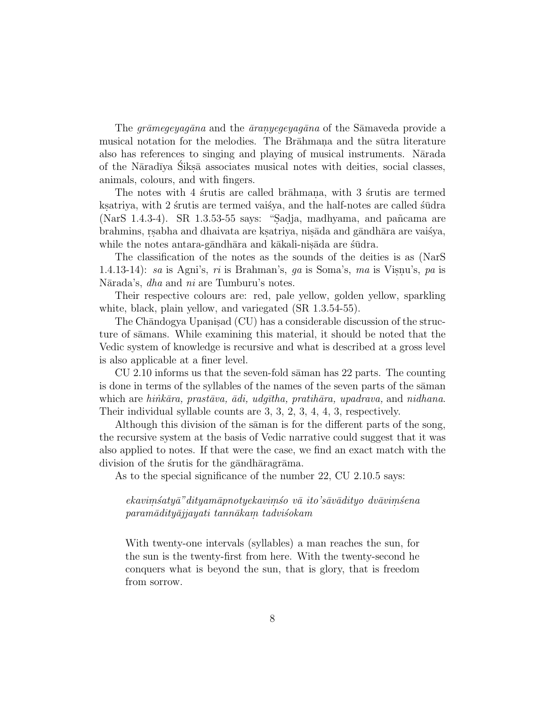The *grāmegeyagāna* and the *āranyegeyagāna* of the Sāmaveda provide a musical notation for the melodies. The Brahmana and the sūtra literature also has references to singing and playing of musical instruments. Narada of the Nāradīya Siksā associates musical notes with deities, social classes, animals, colours, and with fingers.

The notes with 4 strutis are called brahmana, with 3 strutis are termed ks. ks. it is a termed vaisya, and the half-notes are called studies (NarS 1.4.3-4). SR 1.3.53-55 says: "Sadja, madhyama, and pañcama are brahmins, rsabha and dhaivata are ksatriya, nisāda and gāndhāra are vaišya, while the notes antara-gāndhāra and kākali-nisāda are śūdra.

The classification of the notes as the sounds of the deities is as (NarS 1.4.13-14): sa is Agni's, ri is Brahman's, qa is Soma's, ma is Visnu's, pa is Nārada's, *dha* and *ni* are Tumburu's notes.

Their respective colours are: red, pale yellow, golden yellow, sparkling white, black, plain yellow, and variegated (SR 1.3.54-55).

The Chāndogya Upanisad (CU) has a considerable discussion of the structure of samans. While examining this material, it should be noted that the Vedic system of knowledge is recursive and what is described at a gross level is also applicable at a finer level.

 $CU$  2.10 informs us that the seven-fold sāman has 22 parts. The counting is done in terms of the syllables of the names of the seven parts of the saman which are hink $\bar{a}ra$ , prast $\bar{a}va$ ,  $\bar{a}di$ ,  $udq\bar{a}th$ , pratih $\bar{a}ra$ , upadrava, and nidhana. Their individual syllable counts are 3, 3, 2, 3, 4, 4, 3, respectively.

Although this division of the saman is for the different parts of the song, the recursive system at the basis of Vedic narrative could suggest that it was also applied to notes. If that were the case, we find an exact match with the division of the strutis for the gandharagrama.

As to the special significance of the number 22, CU 2.10.5 says:

### $ekavim'satya"ditya māpnotyekavim'so vā ito'sāvādityo dvāvim.$ paramādityājjayati tannākam tadvisokam

With twenty-one intervals (syllables) a man reaches the sun, for the sun is the twenty-first from here. With the twenty-second he conquers what is beyond the sun, that is glory, that is freedom from sorrow.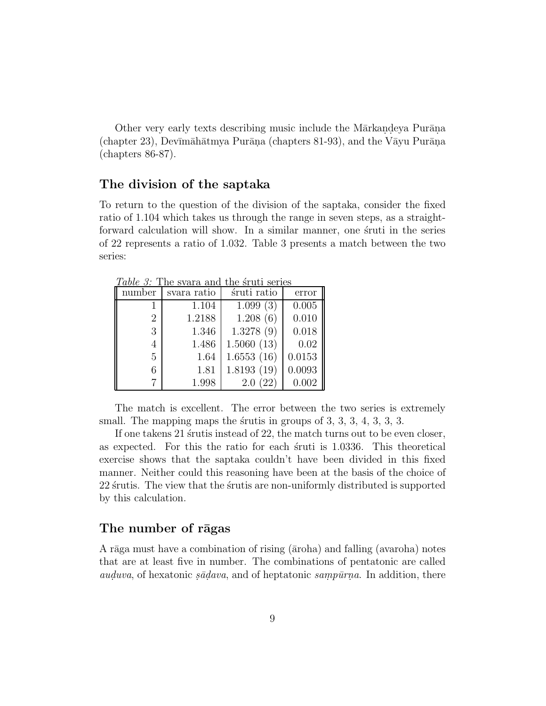Other very early texts describing music include the Mārkandeya Purāna.  $(\text{chapter 23})$ , Devīmāhātmya Purāṇa  $(\text{chapters 81-93})$ , and the Vāyu Purāṇa. (chapters 86-87).

## **The division of the saptaka**

To return to the question of the division of the saptaka, consider the fixed ratio of 1.104 which takes us through the range in seven steps, as a straightforward calculation will show. In a similar manner, one struti in the series of 22 represents a ratio of 1.032. Table 3 presents a match between the two series:

| <b>THE PROTO CHICLE</b><br>$0.10$ $0.1$ $0.01$ $0.01$ $100$ |             |             |        |  |
|-------------------------------------------------------------|-------------|-------------|--------|--|
| number                                                      | svara ratio | śruti ratio | error  |  |
|                                                             | 1.104       | 1.099(3)    | 0.005  |  |
| $\overline{2}$                                              | 1.2188      | 1.208(6)    | 0.010  |  |
| 3                                                           | 1.346       | 1.3278(9)   | 0.018  |  |
| 4                                                           | 1.486       | 1.5060(13)  | 0.02   |  |
| 5                                                           | 1.64        | 1.6553(16)  | 0.0153 |  |
| 6                                                           | 1.81        | 1.8193(19)  | 0.0093 |  |
|                                                             | 1.998       | 2.0(22)     | 0.002  |  |

Table  $3$ . The svara and the struti series

The match is excellent. The error between the two series is extremely small. The mapping maps the strutis in groups of  $3, 3, 3, 4, 3, 3, 3$ .

If one takens 21 strutis instead of 22, the match turns out to be even closer, as expected. For this the ratio for each  $\sin 1.0336$ . This theoretical exercise shows that the saptaka couldn't have been divided in this fixed manner. Neither could this reasoning have been at the basis of the choice of 22 strutis. The view that the strutis are non-uniformly distributed is supported by this calculation.

## **The number of r¯agas**

A rāga must have a combination of rising ( $\bar{a}$ roha) and falling (avaroha) notes that are at least five in number. The combinations of pentatonic are called auduva, of hexatonic s $\bar{a}dava$ , and of heptatonic sampurna. In addition, there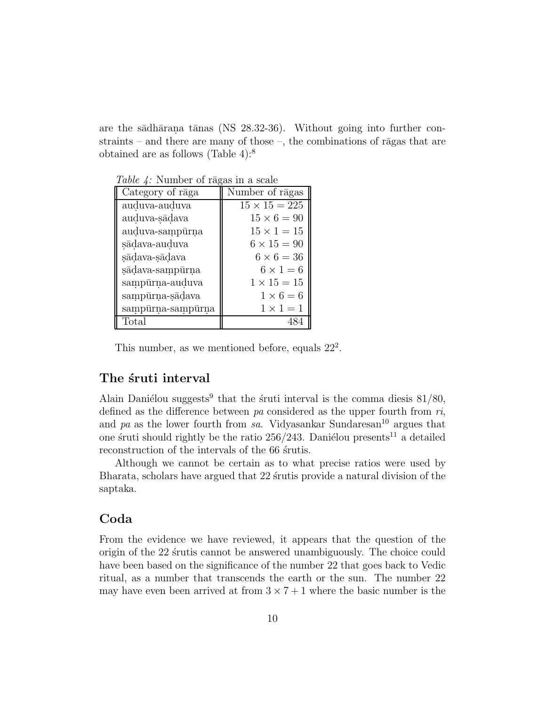are the s $\bar{a}$ dh $\bar{a}$ rana t $\bar{a}$ nas (NS 28.32-36). Without going into further constraints – and there are many of those –, the combinations of ragas that are obtained are as follows (Table 4):<sup>8</sup>

| $1\omega\omega\omega$ 4. INTHOUR OF FOSCO III $\omega$ scale |                      |  |  |
|--------------------------------------------------------------|----------------------|--|--|
| Category of raga                                             | Number of rāgas      |  |  |
| auduva-auduva                                                | $15 \times 15 = 225$ |  |  |
| auduva-sādava                                                | $15 \times 6 = 90$   |  |  |
| auduva-sampūrna                                              | $15 \times 1 = 15$   |  |  |
| sādava-auduva                                                | $6 \times 15 = 90$   |  |  |
| sādava-sādava                                                | $6 \times 6 = 36$    |  |  |
| sādava-sampūrna                                              | $6 \times 1 = 6$     |  |  |
| sampūrna-auduva                                              | $1 \times 15 = 15$   |  |  |
| sampūrna-sādava                                              | $1 \times 6 = 6$     |  |  |
| sampūrna-sampūrna                                            | $1 \times 1 = 1$     |  |  |
| Total                                                        |                      |  |  |

 $Table \t/ \cdot$  Number of ragas in a scale

This number, as we mentioned before, equals  $22^2$ .

## **The ´sruti interval**

Alain Daniélou suggests<sup>9</sup> that the struti interval is the comma diesis  $81/80$ , defined as the difference between  $pa$  considered as the upper fourth from  $ri$ , and pa as the lower fourth from sa. Vidyasankar Sundaresan<sup>10</sup> argues that one śruti should rightly be the ratio  $256/243$ . Daniélou presents<sup>11</sup> a detailed reconstruction of the intervals of the 66 strutis.

Although we cannot be certain as to what precise ratios were used by Bharata, scholars have argued that 22 strutis provide a natural division of the saptaka.

### **Coda**

From the evidence we have reviewed, it appears that the question of the origin of the 22 strutis cannot be answered unambiguously. The choice could have been based on the significance of the number 22 that goes back to Vedic ritual, as a number that transcends the earth or the sun. The number 22 may have even been arrived at from  $3 \times 7 + 1$  where the basic number is the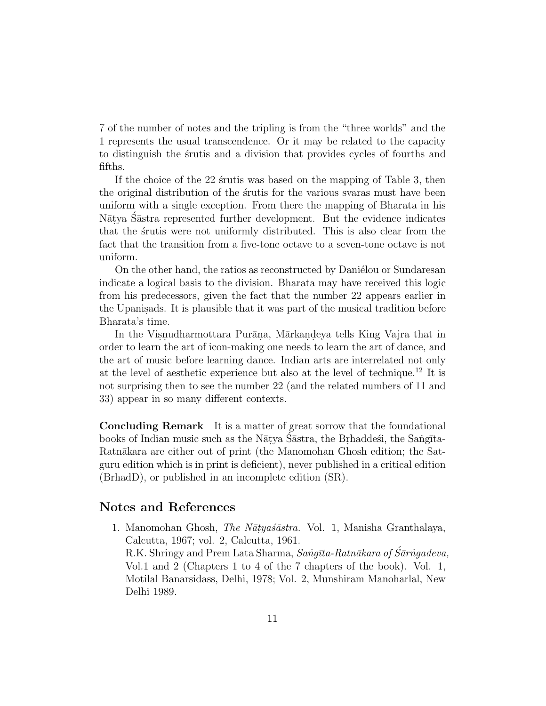7 of the number of notes and the tripling is from the "three worlds" and the 1 represents the usual transcendence. Or it may be related to the capacity to distinguish the strutis and a division that provides cycles of fourths and fifths.

If the choice of the  $22$  strutis was based on the mapping of Table 3, then the original distribution of the strutis for the various svaras must have been uniform with a single exception. From there the mapping of Bharata in his Nātya Sāstra represented further development. But the evidence indicates that the strutis were not uniformly distributed. This is also clear from the fact that the transition from a five-tone octave to a seven-tone octave is not uniform.

On the other hand, the ratios as reconstructed by Daniélou or Sundaresan indicate a logical basis to the division. Bharata may have received this logic from his predecessors, given the fact that the number 22 appears earlier in the Upanis. It is plausible that it was part of the musical tradition before Bharata's time.

In the Visnudharmottara Purāna, Mārkandeya tells King Vajra that in order to learn the art of icon-making one needs to learn the art of dance, and the art of music before learning dance. Indian arts are interrelated not only at the level of aesthetic experience but also at the level of technique.<sup>12</sup> It is not surprising then to see the number 22 (and the related numbers of 11 and 33) appear in so many different contexts.

**Concluding Remark** It is a matter of great sorrow that the foundational books of Indian music such as the Nātya Sāstra, the Brhaddesi, the Sangīta-Ratnākara are either out of print (the Manomohan Ghosh edition; the Satguru edition which is in print is deficient), never published in a critical edition (BrhadD), or published in an incomplete edition (SR).

#### **Notes and References**

1. Manomohan Ghosh, *The Nātyaśāstra*. Vol. 1, Manisha Granthalaya, Calcutta, 1967; vol. 2, Calcutta, 1961. R.K. Shringy and Prem Lata Sharma, Sangīta-Ratnākara of Śārngadeva, Vol.1 and 2 (Chapters 1 to 4 of the 7 chapters of the book). Vol. 1, Motilal Banarsidass, Delhi, 1978; Vol. 2, Munshiram Manoharlal, New Delhi 1989.